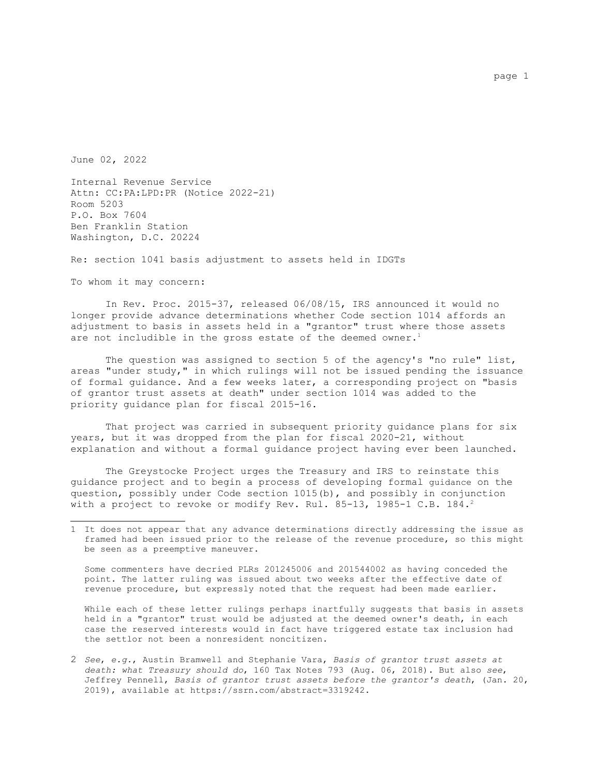June 02, 2022

Internal Revenue Service Attn: CC:PA:LPD:PR (Notice 2022-21) Room 5203 P.O. Box 7604 Ben Franklin Station Washington, D.C. 20224

Re: section 1041 basis adjustment to assets held in IDGTs

To whom it may concern:

In Rev. Proc. 2015-37, released 06/08/15, IRS announced it would no longer provide advance determinations whether Code section 1014 affords an adjustment to basis in assets held in a "grantor" trust where those assets are not includible in the gross estate of the deemed owner.<sup>[1](#page-0-0)</sup>

The question was assigned to section 5 of the agency's "no rule" list, areas "under study," in which rulings will not be issued pending the issuance of formal guidance. And a few weeks later, a corresponding project on "basis of grantor trust assets at death" under section 1014 was added to the priority guidance plan for fiscal 2015-16.

That project was carried in subsequent priority guidance plans for six years, but it was dropped from the plan for fiscal 2020-21, without explanation and without a formal guidance project having ever been launched.

The Greystocke Project urges the Treasury and IRS to reinstate this guidance project and to begin a process of developing formal guidance on the question, possibly under Code section 1015(b), and possibly in conjunction with a project to revoke or modify Rev. Rul. 85-13, 1985-1 C.B. 184.<sup>[2](#page-0-1)</sup>

Some commenters have decried PLRs 201245006 and 201544002 as having conceded the point. The latter ruling was issued about two weeks after the effective date of revenue procedure, but expressly noted that the request had been made earlier.

While each of these letter rulings perhaps inartfully suggests that basis in assets held in a "grantor" trust would be adjusted at the deemed owner's death, in each case the reserved interests would in fact have triggered estate tax inclusion had the settlor not been a nonresident noncitizen.

<span id="page-0-1"></span>2 *See*, *e.g.*, Austin Bramwell and Stephanie Vara, *Basis of grantor trust assets at death: what Treasury should do*, 160 Tax Notes 793 (Aug. 06, 2018). But also *see*, Jeffrey Pennell, *Basis of grantor trust assets before the grantor's death*, (Jan. 20, 2019), available at https://ssrn.com/abstract=3319242.

<span id="page-0-0"></span><sup>1</sup> It does not appear that any advance determinations directly addressing the issue as framed had been issued prior to the release of the revenue procedure, so this might be seen as a preemptive maneuver.